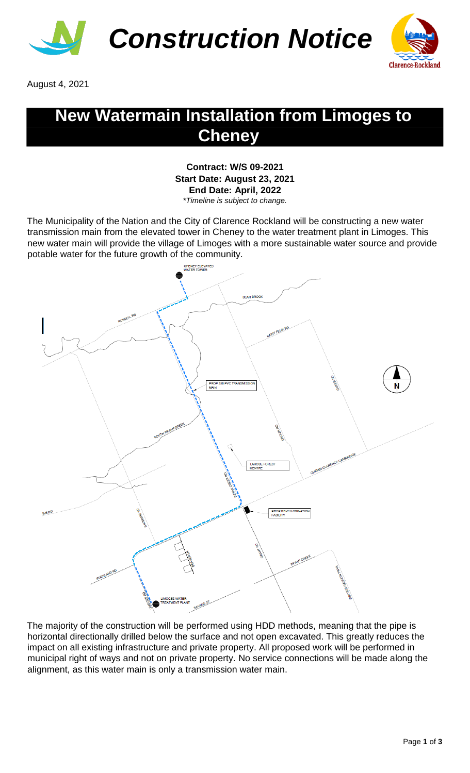



August 4, 2021

## **New Watermain Installation from Limoges to Cheney**

**Contract: W/S 09-2021 Start Date: August 23, 2021 End Date: April, 2022** *\*Timeline is subject to change.* 

The Municipality of the Nation and the City of Clarence Rockland will be constructing a new water transmission main from the elevated tower in Cheney to the water treatment plant in Limoges. This new water main will provide the village of Limoges with a more sustainable water source and provide potable water for the future growth of the community.



The majority of the construction will be performed using HDD methods, meaning that the pipe is horizontal directionally drilled below the surface and not open excavated. This greatly reduces the impact on all existing infrastructure and private property. All proposed work will be performed in municipal right of ways and not on private property. No service connections will be made along the alignment, as this water main is only a transmission water main.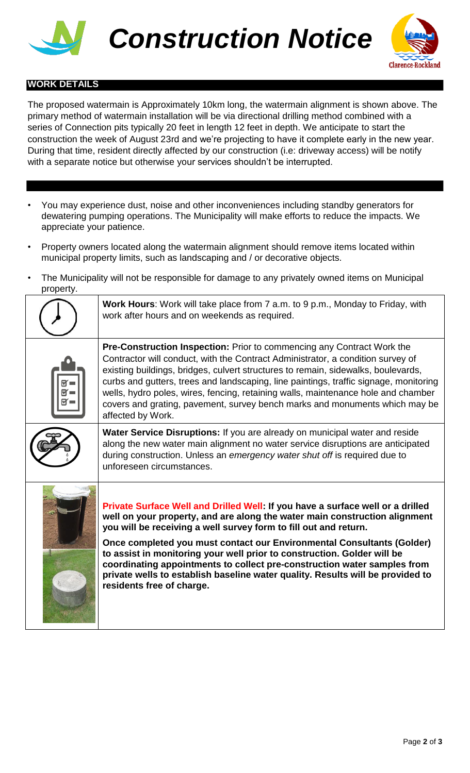



## **WORK DETAILS**

The proposed watermain is Approximately 10km long, the watermain alignment is shown above. The primary method of watermain installation will be via directional drilling method combined with a series of Connection pits typically 20 feet in length 12 feet in depth. We anticipate to start the construction the week of August 23rd and we're projecting to have it complete early in the new year. During that time, resident directly affected by our construction (i.e: driveway access) will be notify with a separate notice but otherwise your services shouldn't be interrupted.

- You may experience dust, noise and other inconveniences including standby generators for dewatering pumping operations. The Municipality will make efforts to reduce the impacts. We appreciate your patience.
- Property owners located along the watermain alignment should remove items located within municipal property limits, such as landscaping and / or decorative objects.
- The Municipality will not be responsible for damage to any privately owned items on Municipal property.

| <b>Work Hours:</b> Work will take place from 7 a.m. to 9 p.m., Monday to Friday, with<br>work after hours and on weekends as required.                                                                                                                                                                                                                                                                                                                                                                                                                                           |
|----------------------------------------------------------------------------------------------------------------------------------------------------------------------------------------------------------------------------------------------------------------------------------------------------------------------------------------------------------------------------------------------------------------------------------------------------------------------------------------------------------------------------------------------------------------------------------|
| <b>Pre-Construction Inspection:</b> Prior to commencing any Contract Work the<br>Contractor will conduct, with the Contract Administrator, a condition survey of<br>existing buildings, bridges, culvert structures to remain, sidewalks, boulevards,<br>curbs and gutters, trees and landscaping, line paintings, traffic signage, monitoring<br>wells, hydro poles, wires, fencing, retaining walls, maintenance hole and chamber<br>covers and grating, pavement, survey bench marks and monuments which may be<br>affected by Work.                                          |
| Water Service Disruptions: If you are already on municipal water and reside<br>along the new water main alignment no water service disruptions are anticipated<br>during construction. Unless an emergency water shut off is required due to<br>unforeseen circumstances.                                                                                                                                                                                                                                                                                                        |
| Private Surface Well and Drilled Well: If you have a surface well or a drilled<br>well on your property, and are along the water main construction alignment<br>you will be receiving a well survey form to fill out and return.<br>Once completed you must contact our Environmental Consultants (Golder)<br>to assist in monitoring your well prior to construction. Golder will be<br>coordinating appointments to collect pre-construction water samples from<br>private wells to establish baseline water quality. Results will be provided to<br>residents free of charge. |